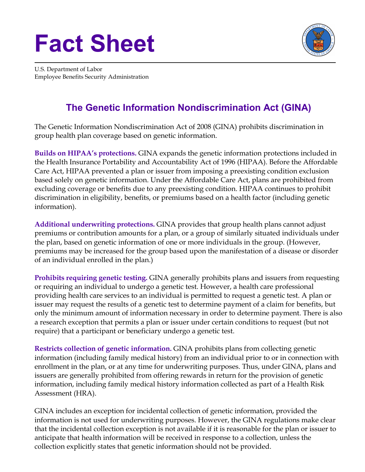## **Fact Sheet**



U.S. Department of Labor Employee Benefits Security Administration

## **The Genetic Information Nondiscrimination Act (GINA)**

The Genetic Information Nondiscrimination Act of 2008 (GINA) prohibits discrimination in group health plan coverage based on genetic information.

**Builds on HIPAA's protections.** GINA expands the genetic information protections included in the Health Insurance Portability and Accountability Act of 1996 (HIPAA). Before the Affordable Care Act, HIPAA prevented a plan or issuer from imposing a preexisting condition exclusion based solely on genetic information. Under the Affordable Care Act, plans are prohibited from excluding coverage or benefits due to any preexisting condition. HIPAA continues to prohibit discrimination in eligibility, benefits, or premiums based on a health factor (including genetic information).

**Additional underwriting protections.** GINA provides that group health plans cannot adjust premiums or contribution amounts for a plan, or a group of similarly situated individuals under the plan, based on genetic information of one or more individuals in the group. (However, premiums may be increased for the group based upon the manifestation of a disease or disorder of an individual enrolled in the plan.)

**Prohibits requiring genetic testing.** GINA generally prohibits plans and issuers from requesting or requiring an individual to undergo a genetic test. However, a health care professional providing health care services to an individual is permitted to request a genetic test. A plan or issuer may request the results of a genetic test to determine payment of a claim for benefits, but only the minimum amount of information necessary in order to determine payment. There is also a research exception that permits a plan or issuer under certain conditions to request (but not require) that a participant or beneficiary undergo a genetic test.

**Restricts collection of genetic information.** GINA prohibits plans from collecting genetic information (including family medical history) from an individual prior to or in connection with enrollment in the plan, or at any time for underwriting purposes. Thus, under GINA, plans and issuers are generally prohibited from offering rewards in return for the provision of genetic information, including family medical history information collected as part of a Health Risk Assessment (HRA).

GINA includes an exception for incidental collection of genetic information, provided the information is not used for underwriting purposes. However, the GINA regulations make clear that the incidental collection exception is not available if it is reasonable for the plan or issuer to anticipate that health information will be received in response to a collection, unless the collection explicitly states that genetic information should not be provided.